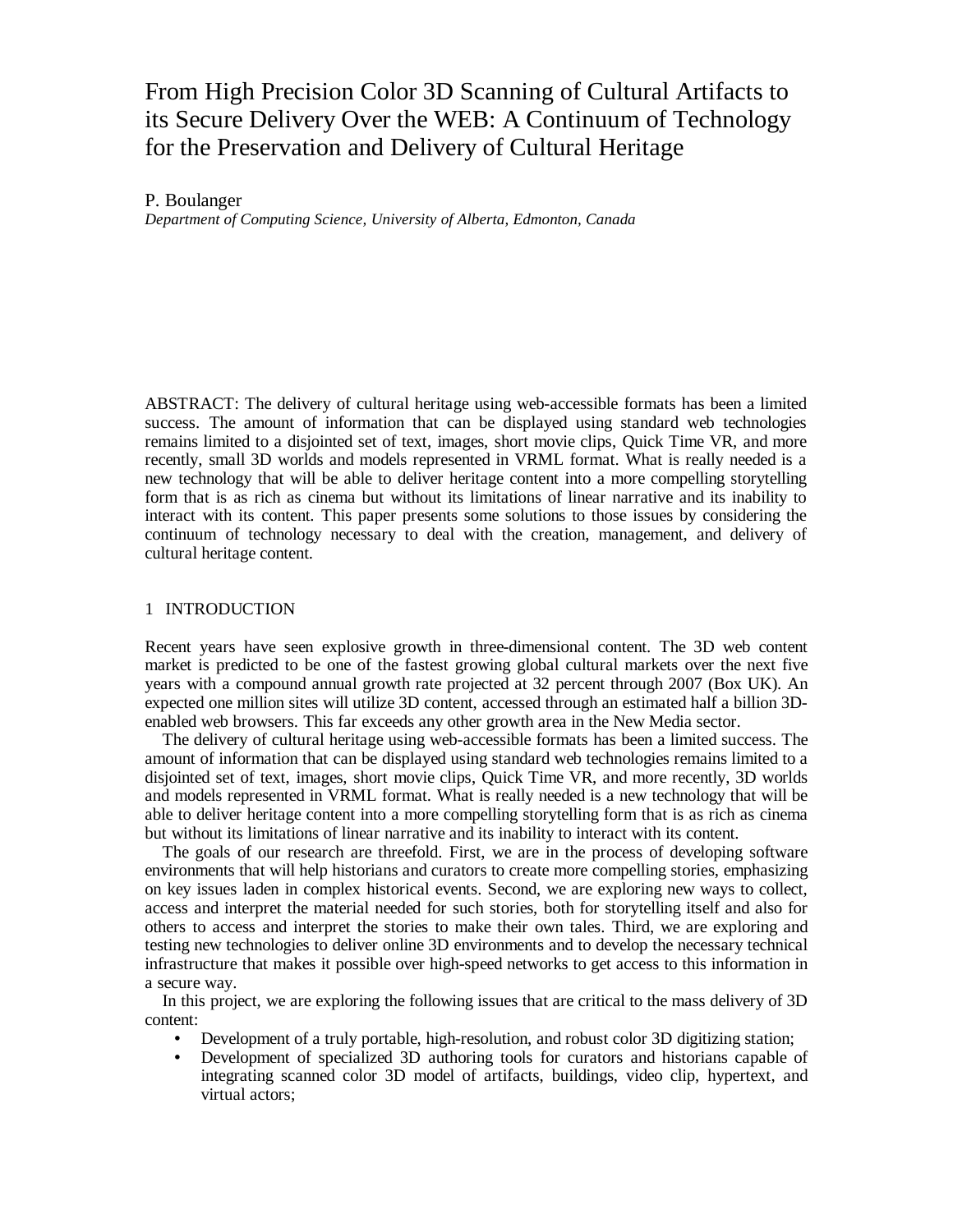# From High Precision Color 3D Scanning of Cultural Artifacts to its Secure Delivery Over the WEB: A Continuum of Technology for the Preservation and Delivery of Cultural Heritage

P. Boulanger

*Department of Computing Science, University of Alberta, Edmonton, Canada*

ABSTRACT: The delivery of cultural heritage using web-accessible formats has been a limited success. The amount of information that can be displayed using standard web technologies remains limited to a disjointed set of text, images, short movie clips, Quick Time VR, and more recently, small 3D worlds and models represented in VRML format. What is really needed is a new technology that will be able to deliver heritage content into a more compelling storytelling form that is as rich as cinema but without its limitations of linear narrative and its inability to interact with its content. This paper presents some solutions to those issues by considering the continuum of technology necessary to deal with the creation, management, and delivery of cultural heritage content.

#### 1 INTRODUCTION

Recent years have seen explosive growth in three-dimensional content. The 3D web content market is predicted to be one of the fastest growing global cultural markets over the next five years with a compound annual growth rate projected at 32 percent through 2007 (Box UK). An expected one million sites will utilize 3D content, accessed through an estimated half a billion 3Denabled web browsers. This far exceeds any other growth area in the New Media sector.

The delivery of cultural heritage using web-accessible formats has been a limited success. The amount of information that can be displayed using standard web technologies remains limited to a disjointed set of text, images, short movie clips, Quick Time VR, and more recently, 3D worlds and models represented in VRML format. What is really needed is a new technology that will be able to deliver heritage content into a more compelling storytelling form that is as rich as cinema but without its limitations of linear narrative and its inability to interact with its content.

The goals of our research are threefold. First, we are in the process of developing software environments that will help historians and curators to create more compelling stories, emphasizing on key issues laden in complex historical events. Second, we are exploring new ways to collect, access and interpret the material needed for such stories, both for storytelling itself and also for others to access and interpret the stories to make their own tales. Third, we are exploring and testing new technologies to deliver online 3D environments and to develop the necessary technical infrastructure that makes it possible over high-speed networks to get access to this information in a secure way.

In this project, we are exploring the following issues that are critical to the mass delivery of 3D content:

- Development of a truly portable, high-resolution, and robust color 3D digitizing station;
- Development of specialized 3D authoring tools for curators and historians capable of integrating scanned color 3D model of artifacts, buildings, video clip, hypertext, and virtual actors;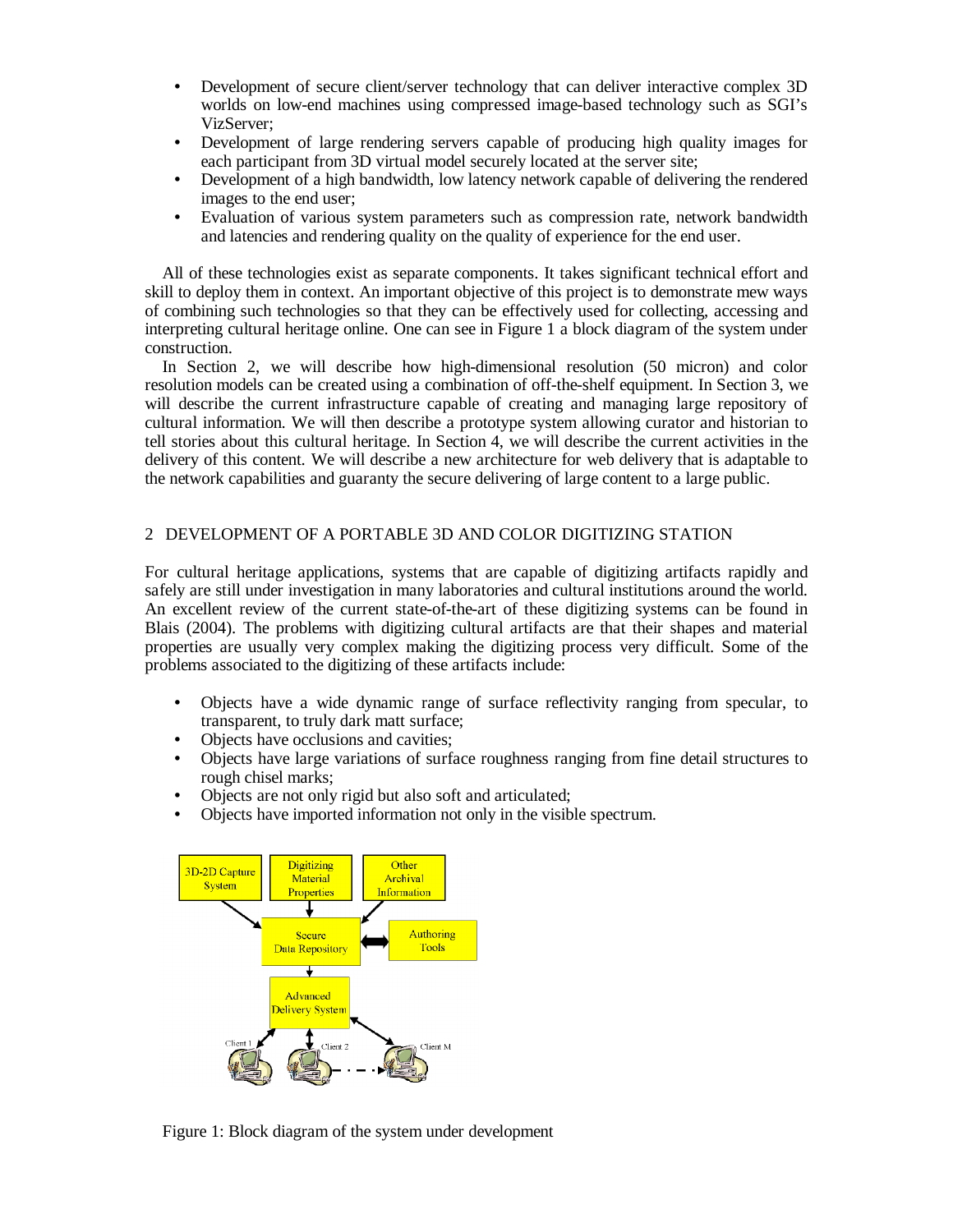- Development of secure client/server technology that can deliver interactive complex 3D worlds on low-end machines using compressed image-based technology such as SGI's VizServer;
- Development of large rendering servers capable of producing high quality images for each participant from 3D virtual model securely located at the server site;
- Development of a high bandwidth, low latency network capable of delivering the rendered images to the end user;
- Evaluation of various system parameters such as compression rate, network bandwidth and latencies and rendering quality on the quality of experience for the end user.

All of these technologies exist as separate components. It takes significant technical effort and skill to deploy them in context. An important objective of this project is to demonstrate mew ways of combining such technologies so that they can be effectively used for collecting, accessing and interpreting cultural heritage online. One can see in Figure 1 a block diagram of the system under construction.

In Section 2, we will describe how high-dimensional resolution (50 micron) and color resolution models can be created using a combination of off-the-shelf equipment. In Section 3, we will describe the current infrastructure capable of creating and managing large repository of cultural information. We will then describe a prototype system allowing curator and historian to tell stories about this cultural heritage. In Section 4, we will describe the current activities in the delivery of this content. We will describe a new architecture for web delivery that is adaptable to the network capabilities and guaranty the secure delivering of large content to a large public.

# 2 DEVELOPMENT OF A PORTABLE 3D AND COLOR DIGITIZING STATION

For cultural heritage applications, systems that are capable of digitizing artifacts rapidly and safely are still under investigation in many laboratories and cultural institutions around the world. An excellent review of the current state-of-the-art of these digitizing systems can be found in Blais (2004). The problems with digitizing cultural artifacts are that their shapes and material properties are usually very complex making the digitizing process very difficult. Some of the problems associated to the digitizing of these artifacts include:

- Objects have a wide dynamic range of surface reflectivity ranging from specular, to transparent, to truly dark matt surface;
- Objects have occlusions and cavities;
- Objects have large variations of surface roughness ranging from fine detail structures to rough chisel marks;
- Objects are not only rigid but also soft and articulated;
- Objects have imported information not only in the visible spectrum.



Figure 1: Block diagram of the system under development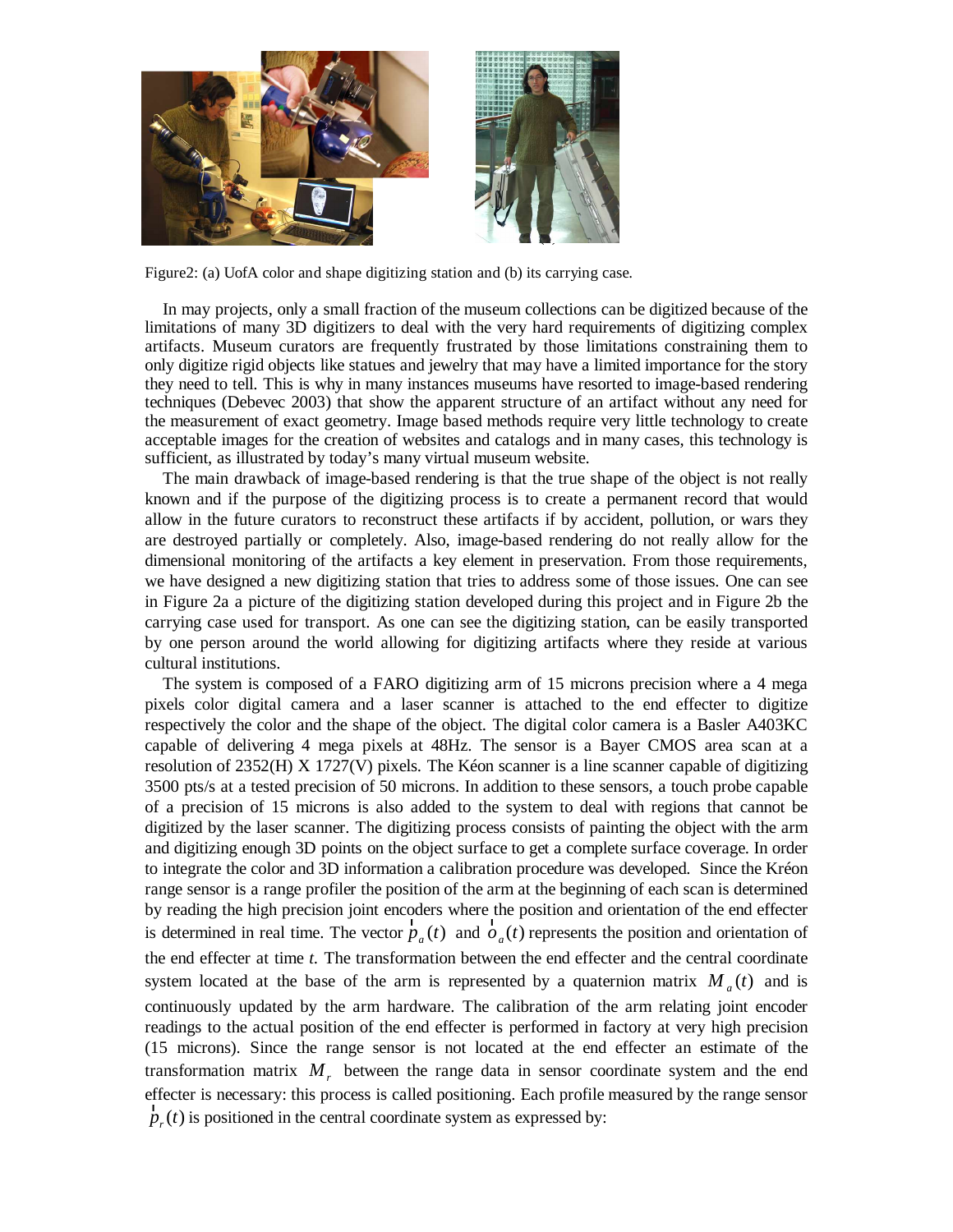

Figure2: (a) UofA color and shape digitizing station and (b) its carrying case.

In may projects, only a small fraction of the museum collections can be digitized because of the limitations of many 3D digitizers to deal with the very hard requirements of digitizing complex artifacts. Museum curators are frequently frustrated by those limitations constraining them to only digitize rigid objects like statues and jewelry that may have a limited importance for the story they need to tell. This is why in many instances museums have resorted to image-based rendering techniques (Debevec 2003) that show the apparent structure of an artifact without any need for the measurement of exact geometry. Image based methods require very little technology to create acceptable images for the creation of websites and catalogs and in many cases, this technology is sufficient, as illustrated by today's many virtual museum website.

The main drawback of image-based rendering is that the true shape of the object is not really known and if the purpose of the digitizing process is to create a permanent record that would allow in the future curators to reconstruct these artifacts if by accident, pollution, or wars they are destroyed partially or completely. Also, image-based rendering do not really allow for the dimensional monitoring of the artifacts a key element in preservation. From those requirements, we have designed a new digitizing station that tries to address some of those issues. One can see in Figure 2a a picture of the digitizing station developed during this project and in Figure 2b the carrying case used for transport. As one can see the digitizing station, can be easily transported by one person around the world allowing for digitizing artifacts where they reside at various cultural institutions.

The system is composed of a FARO digitizing arm of 15 microns precision where a 4 mega pixels color digital camera and a laser scanner is attached to the end effecter to digitize respectively the color and the shape of the object. The digital color camera is a Basler A403KC capable of delivering 4 mega pixels at 48Hz. The sensor is a Bayer CMOS area scan at a resolution of 2352(H) X 1727(V) pixels. The Kéon scanner is a line scanner capable of digitizing 3500 pts/s at a tested precision of 50 microns. In addition to these sensors, a touch probe capable of a precision of 15 microns is also added to the system to deal with regions that cannot be digitized by the laser scanner. The digitizing process consists of painting the object with the arm and digitizing enough 3D points on the object surface to get a complete surface coverage. In order to integrate the color and 3D information a calibration procedure was developed. Since the Kréon range sensor is a range profiler the position of the arm at the beginning of each scan is determined by reading the high precision joint encoders where the position and orientation of the end effecter is determined in real time. The vector  $\ddot{p}_a(t)$  $\ddot{p}_a(t)$  and  $\ddot{\dot{o}}_a(t)$  $\ddot{\sigma}_a(t)$  represents the position and orientation of the end effecter at time *t.* The transformation between the end effecter and the central coordinate system located at the base of the arm is represented by a quaternion matrix  $M_a(t)$  and is continuously updated by the arm hardware. The calibration of the arm relating joint encoder readings to the actual position of the end effecter is performed in factory at very high precision (15 microns). Since the range sensor is not located at the end effecter an estimate of the transformation matrix *M<sup>r</sup>* between the range data in sensor coordinate system and the end effecter is necessary: this process is called positioning. Each profile measured by the range sensor  $\ddot{p}_r(t)$ Fiecter is necessary, this process is called positioning. Each profile  $\ddot{p}_r(t)$  is positioned in the central coordinate system as expressed by: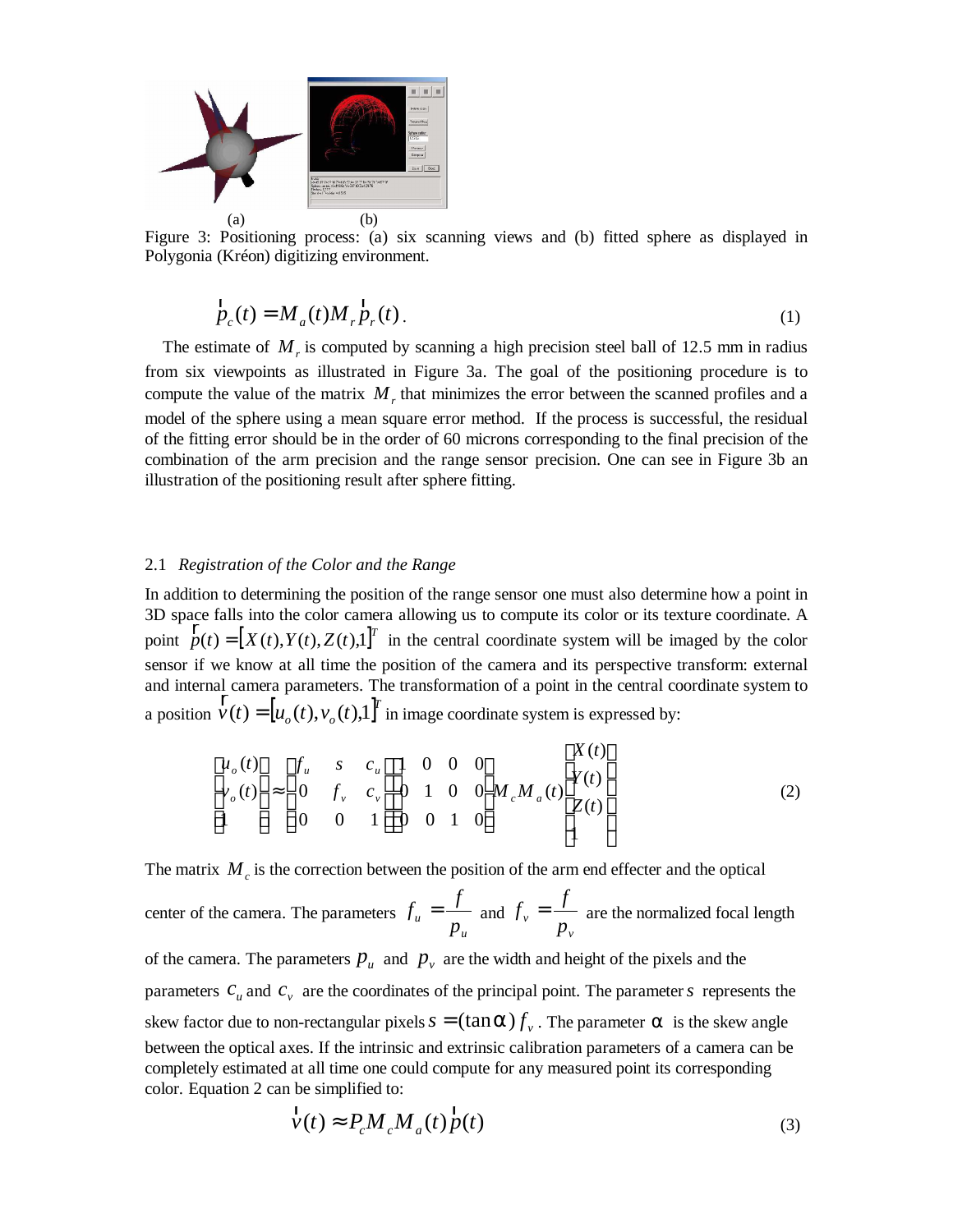

Figure 3: Positioning process: (a) six scanning views and (b) fitted sphere as displayed in Polygonia (Kréon) digitizing environment.

$$
\ddot{p}_c(t) = M_a(t) M_r \ddot{p}_r(t).
$$
\n(1)

The estimate of  $M<sub>r</sub>$  is computed by scanning a high precision steel ball of 12.5 mm in radius from six viewpoints as illustrated in Figure 3a. The goal of the positioning procedure is to compute the value of the matrix  $M_r$ , that minimizes the error between the scanned profiles and a model of the sphere using a mean square error method. If the process is successful, the residual of the fitting error should be in the order of 60 microns corresponding to the final precision of the combination of the arm precision and the range sensor precision. One can see in Figure 3b an illustration of the positioning result after sphere fitting.

#### 2.1 *Registration of the Color and the Range*

In addition to determining the position of the range sensor one must also determine how a point in 3D space falls into the color camera allowing us to compute its color or its texture coordinate. A point  $\ddot{p}(t) = [X(t), Y(t), Z(t),1]^T$  in the central coordinate system will be imaged by the color sensor if we know at all time the position of the camera and its perspective transform: external and internal camera parameters. The transformation of a point in the central coordinate system to a position  $\ddot{v}(t) = [u_o(t), v_o(t),1]^T$ in image coordinate system is expressed by:

$$
\begin{bmatrix} u_o(t) \\ v_o(t) \\ 1 \end{bmatrix} \approx \begin{bmatrix} f_u & s & c_u \\ 0 & f_v & c_v \\ 0 & 0 & 1 \end{bmatrix} \begin{bmatrix} 1 & 0 & 0 & 0 \\ 0 & 1 & 0 & 0 \\ 0 & 0 & 1 & 0 \end{bmatrix} M_c M_a(t) \begin{bmatrix} X(t) \\ Y(t) \\ Z(t) \\ 1 \end{bmatrix}
$$
(2)

The matrix  $M_c$  is the correction between the position of the arm end effecter and the optical

center of the camera. The parameters *u u p*  $f_u = \frac{f}{m}$  and *v v p*  $f_{\nu} = \frac{f}{\nu}$  are the normalized focal length

of the camera. The parameters  $p_u$  and  $p_v$  are the width and height of the pixels and the parameters  $c_u$  and  $c_v$  are the coordinates of the principal point. The parameter *s* represents the skew factor due to non-rectangular pixels  $s = (\tan \alpha) f$ . The parameter  $\alpha$  is the skew angle between the optical axes. If the intrinsic and extrinsic calibration parameters of a camera can be completely estimated at all time one could compute for any measured point its corresponding color. Equation 2 can be simplified to:

$$
\ddot{v}(t) \approx P_c M_c M_a(t) \ddot{p}(t)
$$
\n(3)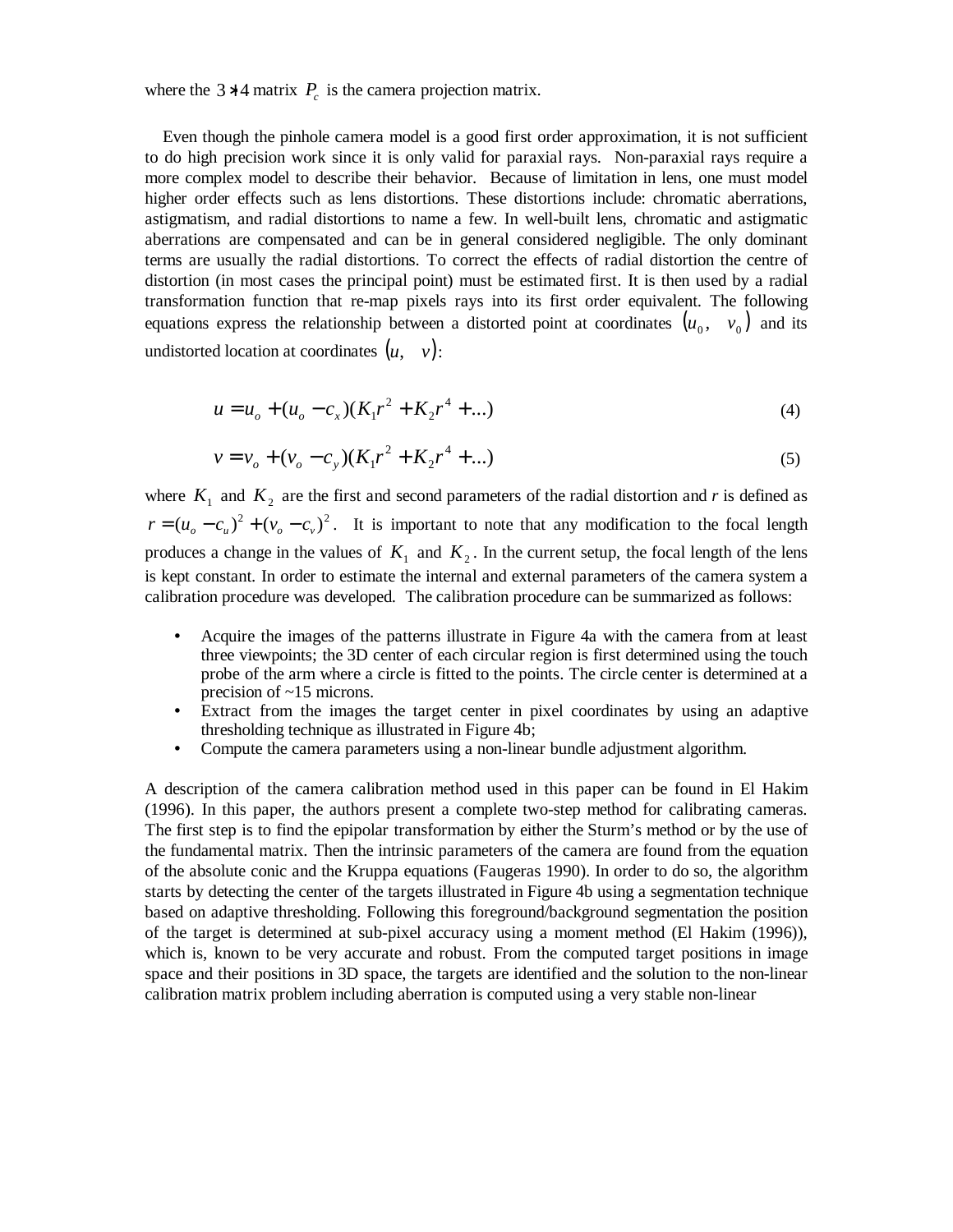where the  $3 * 4$  matrix  $P_c$  is the camera projection matrix.

 Even though the pinhole camera model is a good first order approximation, it is not sufficient to do high precision work since it is only valid for paraxial rays. Non-paraxial rays require a more complex model to describe their behavior. Because of limitation in lens, one must model higher order effects such as lens distortions. These distortions include: chromatic aberrations, astigmatism, and radial distortions to name a few. In well-built lens, chromatic and astigmatic aberrations are compensated and can be in general considered negligible. The only dominant terms are usually the radial distortions. To correct the effects of radial distortion the centre of distortion (in most cases the principal point) must be estimated first. It is then used by a radial transformation function that re-map pixels rays into its first order equivalent. The following equations express the relationship between a distorted point at coordinates  $(u_0, v_0)$  and its undistorted location at coordinates  $(u, v)$ :

$$
u = u_o + (u_o - c_x)(K_1 r^2 + K_2 r^4 + ...)
$$
\n(4)

$$
v = v_o + (v_o - c_y)(K_1 r^2 + K_2 r^4 + ...)
$$
\n(5)

where  $K_1$  and  $K_2$  are the first and second parameters of the radial distortion and *r* is defined as  $r = (u_o - c_u)^2 + (v_o - c_v)^2$ . It is important to note that any modification to the focal length produces a change in the values of  $K_1$  and  $K_2$ . In the current setup, the focal length of the lens is kept constant. In order to estimate the internal and external parameters of the camera system a calibration procedure was developed. The calibration procedure can be summarized as follows:

- Acquire the images of the patterns illustrate in Figure 4a with the camera from at least three viewpoints; the 3D center of each circular region is first determined using the touch probe of the arm where a circle is fitted to the points. The circle center is determined at a precision of ~15 microns.
- Extract from the images the target center in pixel coordinates by using an adaptive thresholding technique as illustrated in Figure 4b;
- Compute the camera parameters using a non-linear bundle adjustment algorithm.

A description of the camera calibration method used in this paper can be found in El Hakim (1996). In this paper, the authors present a complete two-step method for calibrating cameras. The first step is to find the epipolar transformation by either the Sturm's method or by the use of the fundamental matrix. Then the intrinsic parameters of the camera are found from the equation of the absolute conic and the Kruppa equations (Faugeras 1990). In order to do so, the algorithm starts by detecting the center of the targets illustrated in Figure 4b using a segmentation technique based on adaptive thresholding. Following this foreground/background segmentation the position of the target is determined at sub-pixel accuracy using a moment method (El Hakim (1996)), which is, known to be very accurate and robust. From the computed target positions in image space and their positions in 3D space, the targets are identified and the solution to the non-linear calibration matrix problem including aberration is computed using a very stable non-linear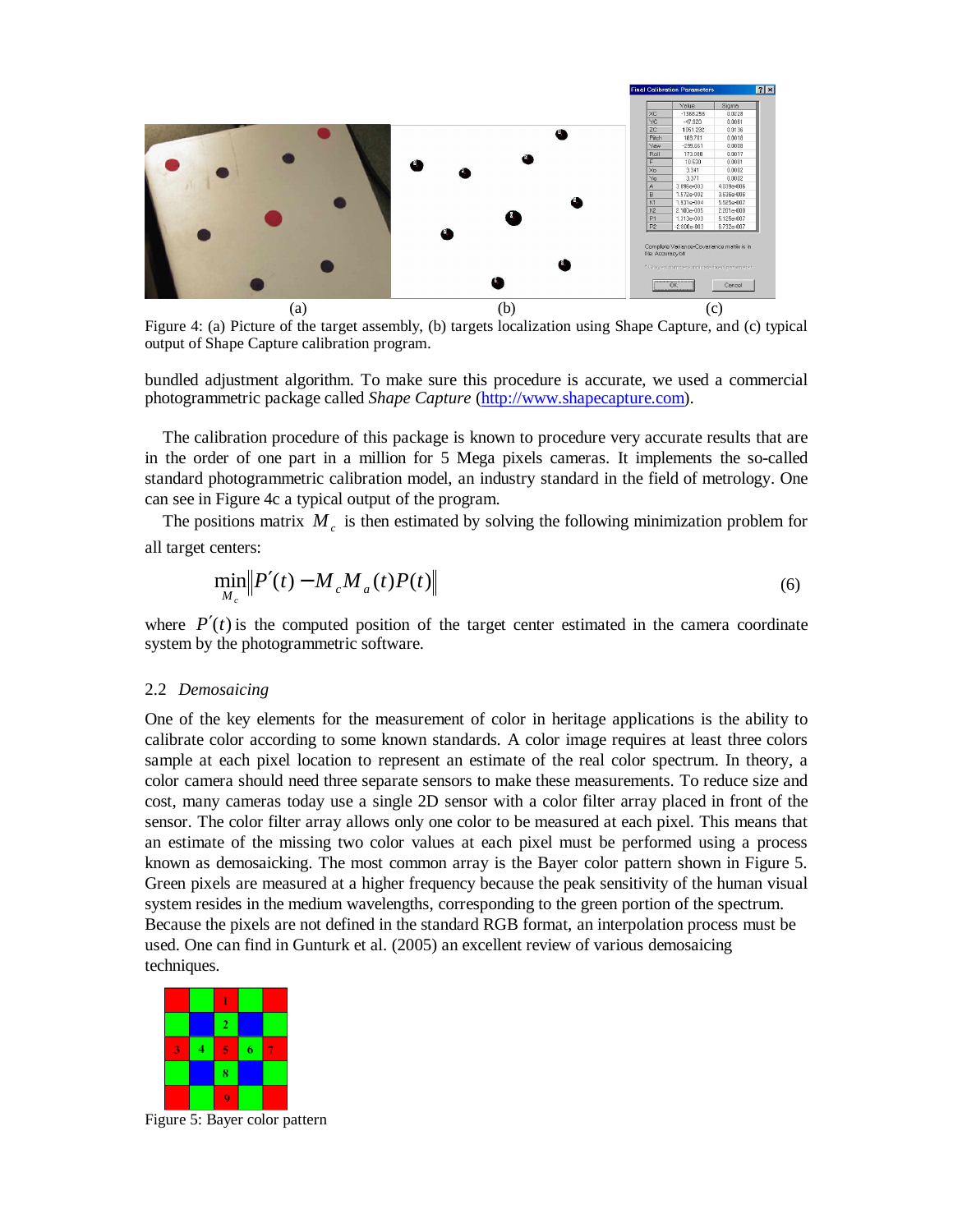

Figure 4: (a) Picture of the target assembly, (b) targets localization using Shape Capture, and (c) typical output of Shape Capture calibration program.

bundled adjustment algorithm. To make sure this procedure is accurate, we used a commercial photogrammetric package called *Shape Capture* [\(http://www.shapecapture.com\)](http://www.shapecapture.com).

The calibration procedure of this package is known to procedure very accurate results that are in the order of one part in a million for 5 Mega pixels cameras. It implements the so-called standard photogrammetric calibration model, an industry standard in the field of metrology. One can see in Figure 4c a typical output of the program.

The positions matrix  $M_c$  is then estimated by solving the following minimization problem for all target centers:

$$
\min_{M_c} \left\| P'(t) - M_c M_a(t) P(t) \right\| \tag{6}
$$

where  $P'(t)$  is the computed position of the target center estimated in the camera coordinate system by the photogrammetric software.

#### 2.2 *Demosaicing*

One of the key elements for the measurement of color in heritage applications is the ability to calibrate color according to some known standards. A color image requires at least three colors sample at each pixel location to represent an estimate of the real color spectrum. In theory, a color camera should need three separate sensors to make these measurements. To reduce size and cost, many cameras today use a single 2D sensor with a color filter array placed in front of the sensor. The color filter array allows only one color to be measured at each pixel. This means that an estimate of the missing two color values at each pixel must be performed using a process known as demosaicking. The most common array is the Bayer color pattern shown in Figure 5. Green pixels are measured at a higher frequency because the peak sensitivity of the human visual system resides in the medium wavelengths, corresponding to the green portion of the spectrum. Because the pixels are not defined in the standard RGB format, an interpolation process must be used. One can find in Gunturk et al. (2005) an excellent review of various demosaicing techniques.



Figure 5: Bayer color pattern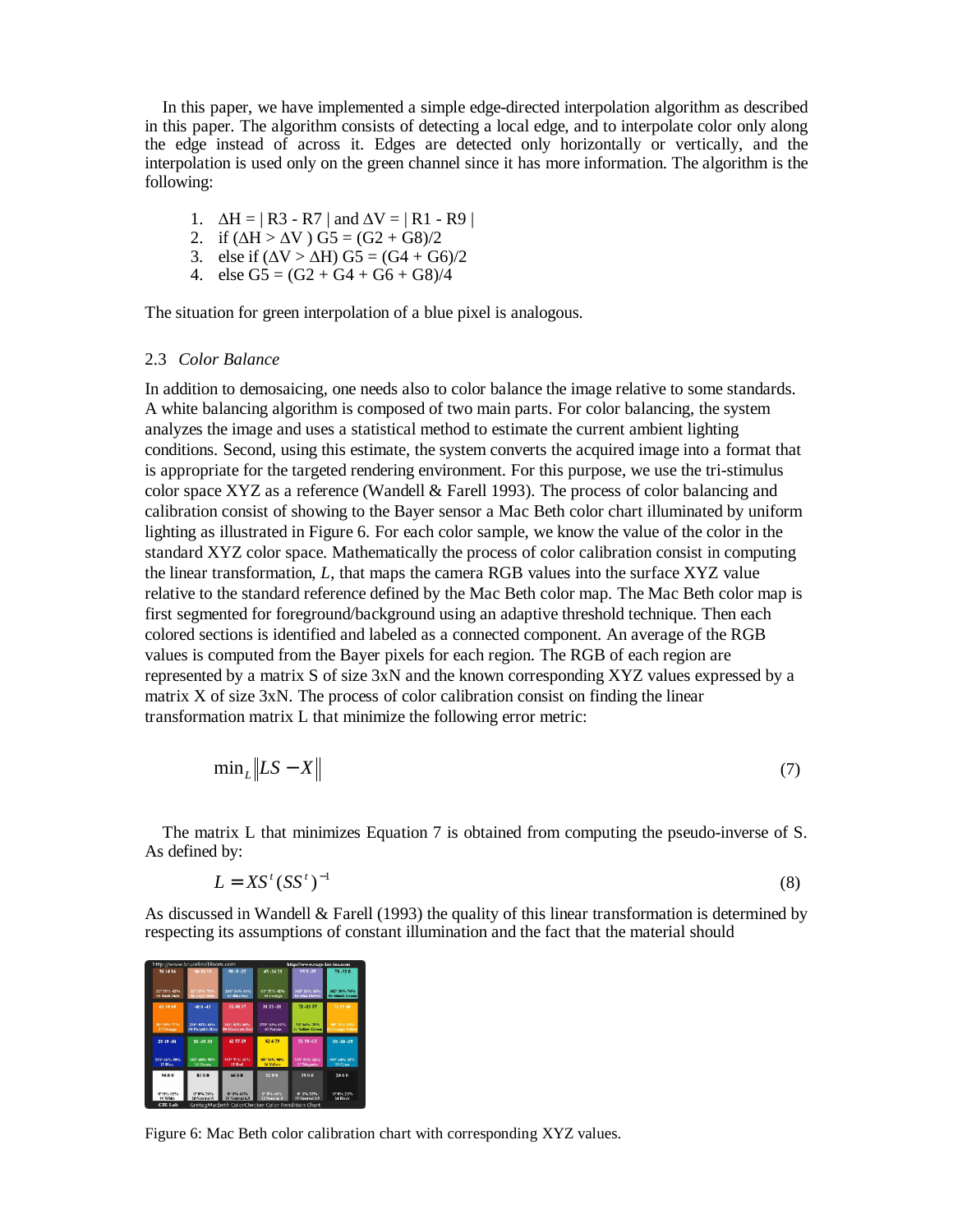In this paper, we have implemented a simple edge-directed interpolation algorithm as described in this paper. The algorithm consists of detecting a local edge, and to interpolate color only along the edge instead of across it. Edges are detected only horizontally or vertically, and the interpolation is used only on the green channel since it has more information. The algorithm is the following:

- 1.  $\Delta H = | R3 R7 |$  and  $\Delta V = | R1 R9 |$
- 2. if  $(\Delta H > \Delta V)$  G5 =  $(G2 + G8)/2$
- 3. else if  $(\Delta V > \Delta H)$  G5 =  $(G4 + G6)/2$
- 4. else  $G5 = (G2 + G4 + G6 + G8)/4$

The situation for green interpolation of a blue pixel is analogous.

# 2.3 *Color Balance*

In addition to demosaicing, one needs also to color balance the image relative to some standards. A white balancing algorithm is composed of two main parts. For color balancing, the system analyzes the image and uses a statistical method to estimate the current ambient lighting conditions. Second, using this estimate, the system converts the acquired image into a format that is appropriate for the targeted rendering environment. For this purpose, we use the tri-stimulus color space XYZ as a reference (Wandell & Farell 1993). The process of color balancing and calibration consist of showing to the Bayer sensor a Mac Beth color chart illuminated by uniform lighting as illustrated in Figure 6. For each color sample, we know the value of the color in the standard XYZ color space. Mathematically the process of color calibration consist in computing the linear transformation, *L*, that maps the camera RGB values into the surface XYZ value relative to the standard reference defined by the Mac Beth color map. The Mac Beth color map is first segmented for foreground/background using an adaptive threshold technique. Then each colored sections is identified and labeled as a connected component. An average of the RGB values is computed from the Bayer pixels for each region. The RGB of each region are represented by a matrix S of size 3xN and the known corresponding XYZ values expressed by a matrix X of size 3xN. The process of color calibration consist on finding the linear transformation matrix L that minimize the following error metric:

$$
\min_{L} \left\| LS - X \right\| \tag{7}
$$

The matrix L that minimizes Equation 7 is obtained from computing the pseudo-inverse of S. As defined by:

$$
L = X S^t (S S^t)^{-1}
$$
 (8)

As discussed in Wandell & Farell (1993) the quality of this linear transformation is determined by respecting its assumptions of constant illumination and the fact that the material should

| http://www.brucelindbloom.com     |                                    |                                                  | http://www.rags-int-inc.com       |                                        |                                       |
|-----------------------------------|------------------------------------|--------------------------------------------------|-----------------------------------|----------------------------------------|---------------------------------------|
| 38 14 16                          | 66 16 18                           | $50 - 5 - 22$                                    | 43-14-21                          | $559 - 25$                             | 71-32.0                               |
| 21° 38% 42%<br>01 Dark Skin       | 217 20% 72%<br>02 Light Skie       | 116°34% 60%<br><b>03 Blue Sky</b>                | 819 35% 42%<br><b>64 Felisce</b>  | 142° 1654 6854<br><b>US Blue Mower</b> | 1637-3894-7454<br>06 Bluish Green     |
| 62.34.60                          | 40.9.43                            | 52 48 17                                         | 31 21 -21                         | 72-23 57                               | 73 19 68                              |
| 301-7555-7756<br><b>47 Orange</b> | 2301 5255 6356<br>(6 Purplith Blue | 3521-52% 6M%<br>09 Moderate Red                  | 273° 49% 4154<br>10 Parole        | 215,60% 23%<br>11 Yellow Green         | 481 7316 8416<br><b>Orange Yellow</b> |
| 29 19 -54                         | 55-39.33                           | 42.57.29                                         | 82.4.79                           | 51:50-13                               | $50 - 28 - 29$                        |
| <b>2115 FANC ROOL</b><br>13 Blue  | 102° ARK, 481/.<br>14 Gryss        | <b>SKNH TEGS, 63-RS</b><br>15 Rod                | <b>REF TANK BEAC</b><br>16 Yellow | 1185-4150-6650<br>17 Magwria           | 1904 6416 6816<br>18 Cyan             |
| 9688                              | 8100                               | 66.00                                            | 52 0 0                            | 3500                                   | 2000                                  |
| 09056.99%<br>19 White             | 01016-2956<br>20 Neutral 8         | 0105-6356<br>21 Ventral 6.5                      | <b>OT BIS AND</b><br>22 Neutral 5 | 010563056<br>23 Neutral 3.5            | 07056-2156<br>24 Black                |
| <b>CIE Lab</b>                    |                                    | GretagMacbeth ColorChecker Color Rendition Chart |                                   |                                        |                                       |

Figure 6: Mac Beth color calibration chart with corresponding XYZ values.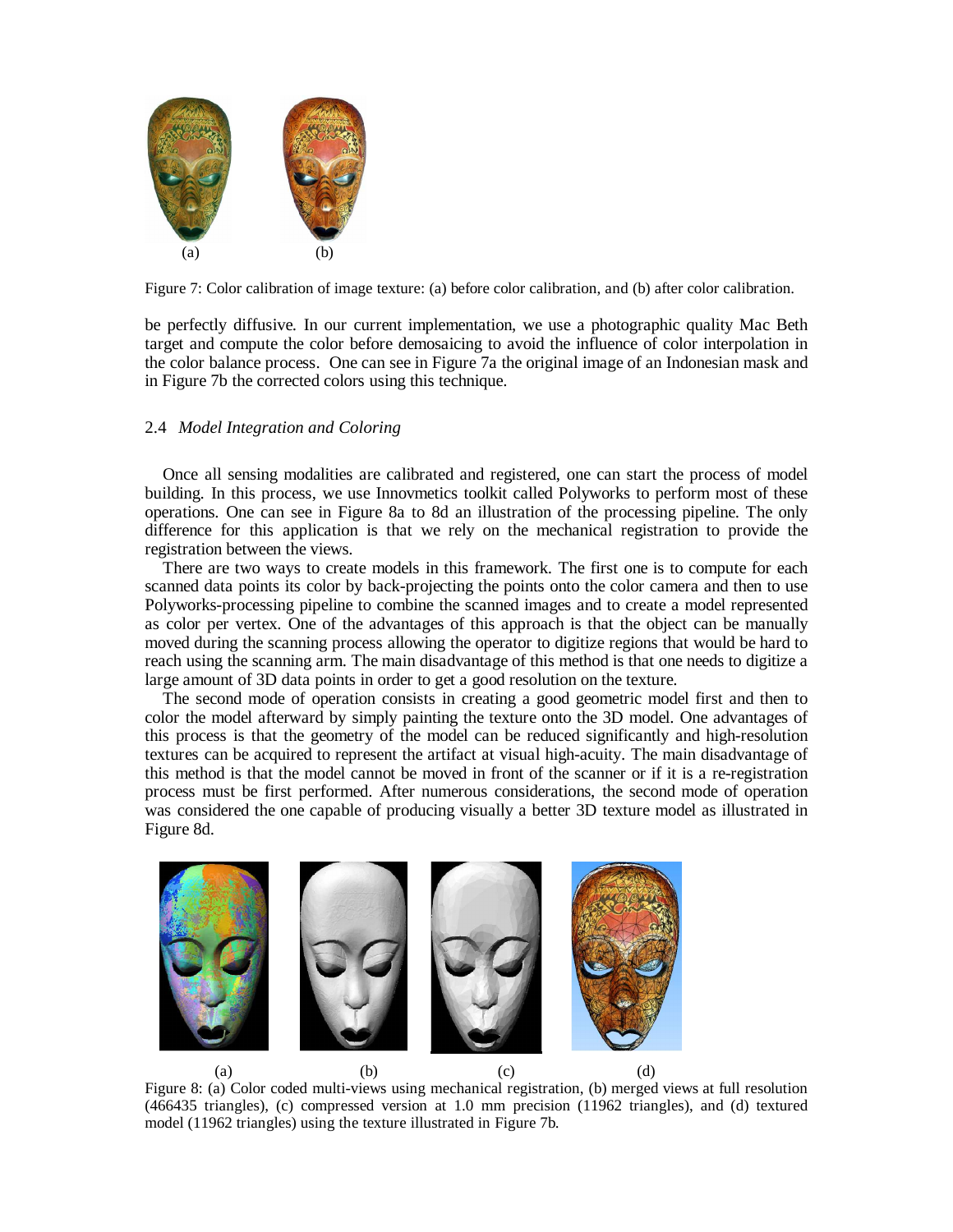

Figure 7: Color calibration of image texture: (a) before color calibration, and (b) after color calibration.

be perfectly diffusive. In our current implementation, we use a photographic quality Mac Beth target and compute the color before demosaicing to avoid the influence of color interpolation in the color balance process. One can see in Figure 7a the original image of an Indonesian mask and in Figure 7b the corrected colors using this technique.

## 2.4 *Model Integration and Coloring*

Once all sensing modalities are calibrated and registered, one can start the process of model building. In this process, we use Innovmetics toolkit called Polyworks to perform most of these operations. One can see in Figure 8a to 8d an illustration of the processing pipeline. The only difference for this application is that we rely on the mechanical registration to provide the registration between the views.

There are two ways to create models in this framework. The first one is to compute for each scanned data points its color by back-projecting the points onto the color camera and then to use Polyworks-processing pipeline to combine the scanned images and to create a model represented as color per vertex. One of the advantages of this approach is that the object can be manually moved during the scanning process allowing the operator to digitize regions that would be hard to reach using the scanning arm. The main disadvantage of this method is that one needs to digitize a large amount of 3D data points in order to get a good resolution on the texture.

The second mode of operation consists in creating a good geometric model first and then to color the model afterward by simply painting the texture onto the 3D model. One advantages of this process is that the geometry of the model can be reduced significantly and high-resolution textures can be acquired to represent the artifact at visual high-acuity. The main disadvantage of this method is that the model cannot be moved in front of the scanner or if it is a re-registration process must be first performed. After numerous considerations, the second mode of operation was considered the one capable of producing visually a better 3D texture model as illustrated in Figure 8d.



Figure 8: (a) Color coded multi-views using mechanical registration, (b) merged views at full resolution (466435 triangles), (c) compressed version at 1.0 mm precision (11962 triangles), and (d) textured model (11962 triangles) using the texture illustrated in Figure 7b.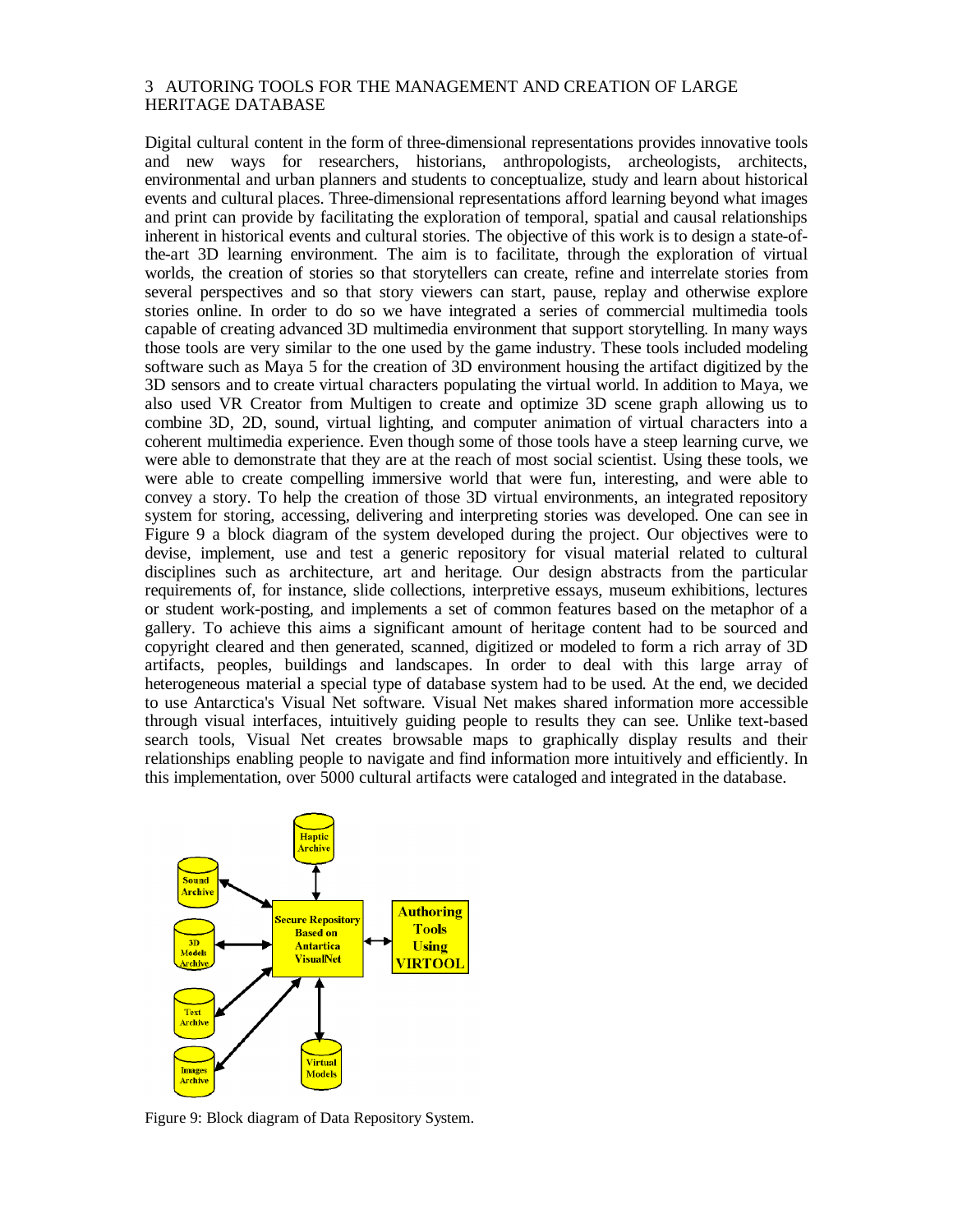# 3 AUTORING TOOLS FOR THE MANAGEMENT AND CREATION OF LARGE HERITAGE DATABASE

Digital cultural content in the form of three-dimensional representations provides innovative tools and new ways for researchers, historians, anthropologists, archeologists, architects, environmental and urban planners and students to conceptualize, study and learn about historical events and cultural places. Three-dimensional representations afford learning beyond what images and print can provide by facilitating the exploration of temporal, spatial and causal relationships inherent in historical events and cultural stories. The objective of this work is to design a state-ofthe-art 3D learning environment. The aim is to facilitate, through the exploration of virtual worlds, the creation of stories so that storytellers can create, refine and interrelate stories from several perspectives and so that story viewers can start, pause, replay and otherwise explore stories online. In order to do so we have integrated a series of commercial multimedia tools capable of creating advanced 3D multimedia environment that support storytelling. In many ways those tools are very similar to the one used by the game industry. These tools included modeling software such as Maya 5 for the creation of 3D environment housing the artifact digitized by the 3D sensors and to create virtual characters populating the virtual world. In addition to Maya, we also used VR Creator from Multigen to create and optimize 3D scene graph allowing us to combine 3D, 2D, sound, virtual lighting, and computer animation of virtual characters into a coherent multimedia experience. Even though some of those tools have a steep learning curve, we were able to demonstrate that they are at the reach of most social scientist. Using these tools, we were able to create compelling immersive world that were fun, interesting, and were able to convey a story. To help the creation of those 3D virtual environments, an integrated repository system for storing, accessing, delivering and interpreting stories was developed. One can see in Figure 9 a block diagram of the system developed during the project. Our objectives were to devise, implement, use and test a generic repository for visual material related to cultural disciplines such as architecture, art and heritage. Our design abstracts from the particular requirements of, for instance, slide collections, interpretive essays, museum exhibitions, lectures or student work-posting, and implements a set of common features based on the metaphor of a gallery. To achieve this aims a significant amount of heritage content had to be sourced and copyright cleared and then generated, scanned, digitized or modeled to form a rich array of 3D artifacts, peoples, buildings and landscapes. In order to deal with this large array of heterogeneous material a special type of database system had to be used. At the end, we decided to use Antarctica's Visual Net software. Visual Net makes shared information more accessible through visual interfaces, intuitively guiding people to results they can see. Unlike text-based search tools, Visual Net creates browsable maps to graphically display results and their relationships enabling people to navigate and find information more intuitively and efficiently. In this implementation, over 5000 cultural artifacts were cataloged and integrated in the database.



Figure 9: Block diagram of Data Repository System.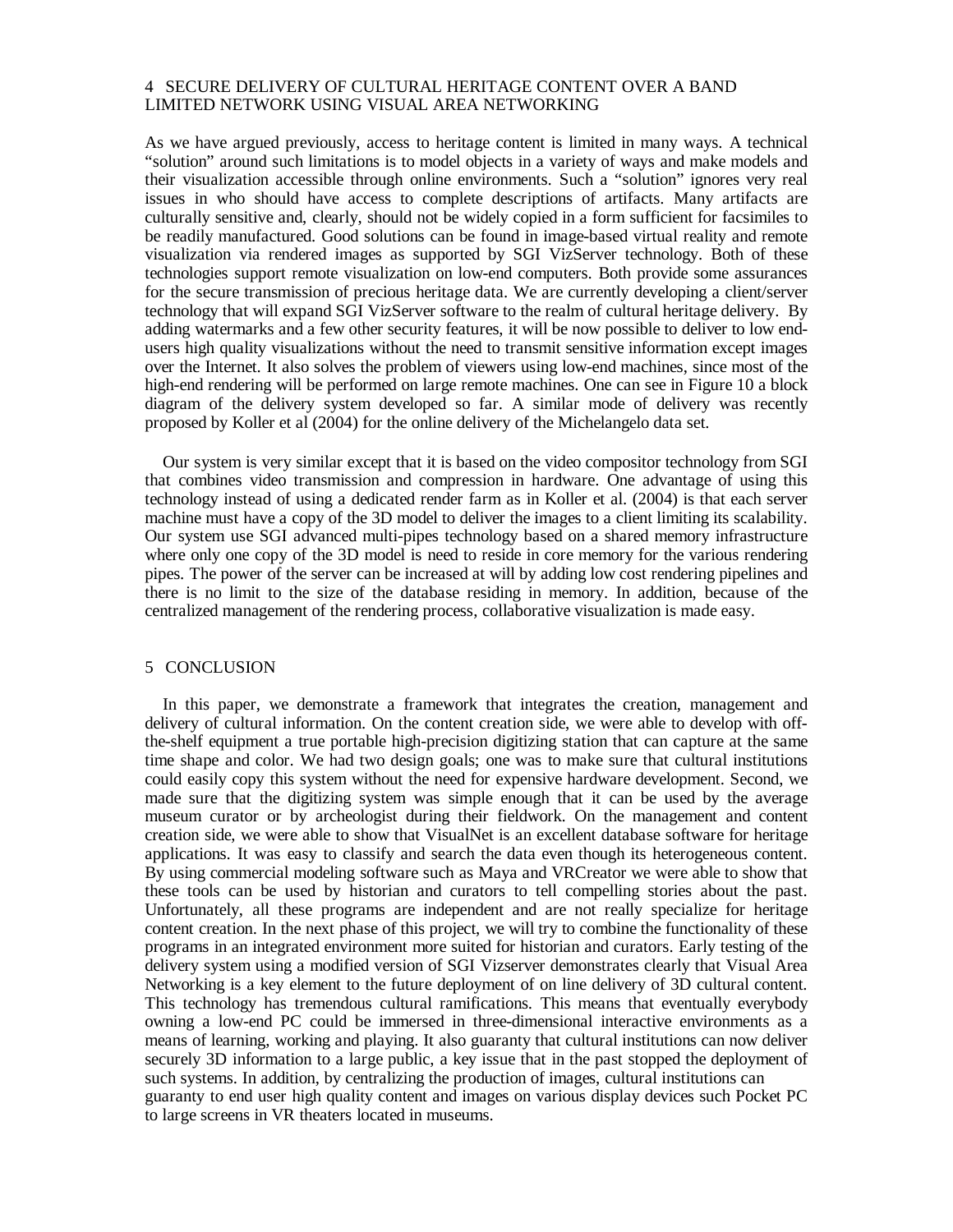## 4 SECURE DELIVERY OF CULTURAL HERITAGE CONTENT OVER A BAND LIMITED NETWORK USING VISUAL AREA NETWORKING

As we have argued previously, access to heritage content is limited in many ways. A technical "solution" around such limitations is to model objects in a variety of ways and make models and their visualization accessible through online environments. Such a "solution" ignores very real issues in who should have access to complete descriptions of artifacts. Many artifacts are culturally sensitive and, clearly, should not be widely copied in a form sufficient for facsimiles to be readily manufactured. Good solutions can be found in image-based virtual reality and remote visualization via rendered images as supported by SGI VizServer technology. Both of these technologies support remote visualization on low-end computers. Both provide some assurances for the secure transmission of precious heritage data. We are currently developing a client/server technology that will expand SGI VizServer software to the realm of cultural heritage delivery. By adding watermarks and a few other security features, it will be now possible to deliver to low endusers high quality visualizations without the need to transmit sensitive information except images over the Internet. It also solves the problem of viewers using low-end machines, since most of the high-end rendering will be performed on large remote machines. One can see in Figure 10 a block diagram of the delivery system developed so far. A similar mode of delivery was recently proposed by Koller et al (2004) for the online delivery of the Michelangelo data set.

Our system is very similar except that it is based on the video compositor technology from SGI that combines video transmission and compression in hardware. One advantage of using this technology instead of using a dedicated render farm as in Koller et al. (2004) is that each server machine must have a copy of the 3D model to deliver the images to a client limiting its scalability. Our system use SGI advanced multi-pipes technology based on a shared memory infrastructure where only one copy of the 3D model is need to reside in core memory for the various rendering pipes. The power of the server can be increased at will by adding low cost rendering pipelines and there is no limit to the size of the database residing in memory. In addition, because of the centralized management of the rendering process, collaborative visualization is made easy.

# 5 CONCLUSION

In this paper, we demonstrate a framework that integrates the creation, management and delivery of cultural information. On the content creation side, we were able to develop with offthe-shelf equipment a true portable high-precision digitizing station that can capture at the same time shape and color. We had two design goals; one was to make sure that cultural institutions could easily copy this system without the need for expensive hardware development. Second, we made sure that the digitizing system was simple enough that it can be used by the average museum curator or by archeologist during their fieldwork. On the management and content creation side, we were able to show that VisualNet is an excellent database software for heritage applications. It was easy to classify and search the data even though its heterogeneous content. By using commercial modeling software such as Maya and VRCreator we were able to show that these tools can be used by historian and curators to tell compelling stories about the past. Unfortunately, all these programs are independent and are not really specialize for heritage content creation. In the next phase of this project, we will try to combine the functionality of these programs in an integrated environment more suited for historian and curators. Early testing of the delivery system using a modified version of SGI Vizserver demonstrates clearly that Visual Area Networking is a key element to the future deployment of on line delivery of 3D cultural content. This technology has tremendous cultural ramifications. This means that eventually everybody owning a low-end PC could be immersed in three-dimensional interactive environments as a means of learning, working and playing. It also guaranty that cultural institutions can now deliver securely 3D information to a large public, a key issue that in the past stopped the deployment of such systems. In addition, by centralizing the production of images, cultural institutions can guaranty to end user high quality content and images on various display devices such Pocket PC to large screens in VR theaters located in museums.